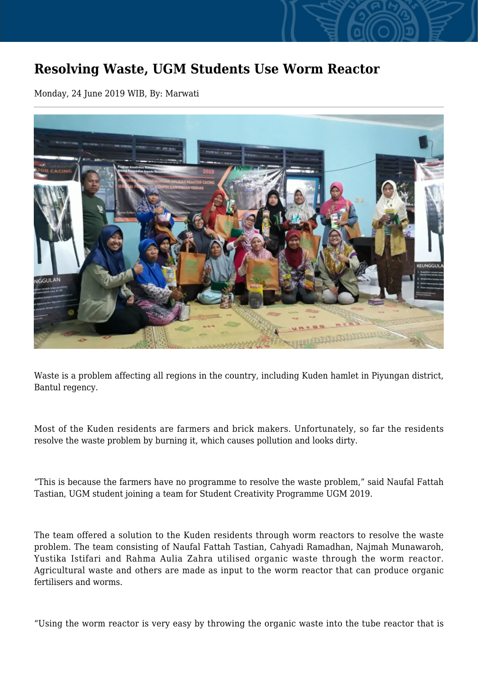## **Resolving Waste, UGM Students Use Worm Reactor**

Monday, 24 June 2019 WIB, By: Marwati



Waste is a problem affecting all regions in the country, including Kuden hamlet in Piyungan district, Bantul regency.

Most of the Kuden residents are farmers and brick makers. Unfortunately, so far the residents resolve the waste problem by burning it, which causes pollution and looks dirty.

"This is because the farmers have no programme to resolve the waste problem," said Naufal Fattah Tastian, UGM student joining a team for Student Creativity Programme UGM 2019.

The team offered a solution to the Kuden residents through worm reactors to resolve the waste problem. The team consisting of Naufal Fattah Tastian, Cahyadi Ramadhan, Najmah Munawaroh, Yustika Istifari and Rahma Aulia Zahra utilised organic waste through the worm reactor. Agricultural waste and others are made as input to the worm reactor that can produce organic fertilisers and worms.

"Using the worm reactor is very easy by throwing the organic waste into the tube reactor that is